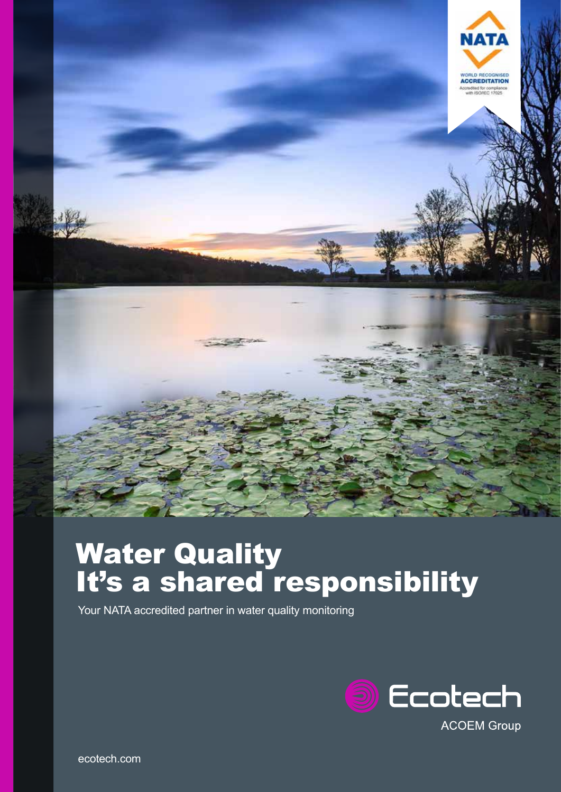

# Water Quality It's a shared responsibility

Your NATA accredited partner in water quality monitoring

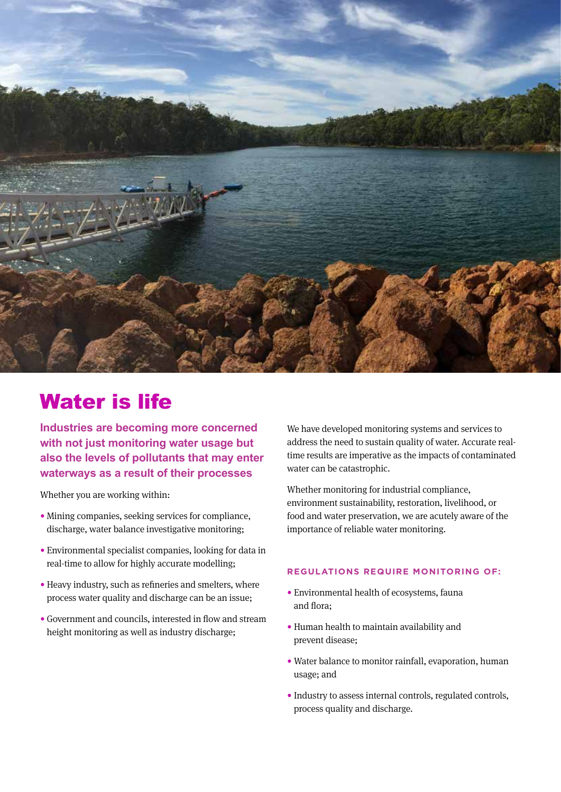

# Water is life

**Industries are becoming more concerned with not just monitoring water usage but also the levels of pollutants that may enter waterways as a result of their processes**

Whether you are working within:

- Mining companies, seeking services for compliance, discharge, water balance investigative monitoring;
- Environmental specialist companies, looking for data in real-time to allow for highly accurate modelling;
- Heavy industry, such as refineries and smelters, where process water quality and discharge can be an issue;
- Government and councils, interested in flow and stream height monitoring as well as industry discharge;

We have developed monitoring systems and services to address the need to sustain quality of water. Accurate realtime results are imperative as the impacts of contaminated water can be catastrophic.

Whether monitoring for industrial compliance, environment sustainability, restoration, livelihood, or food and water preservation, we are acutely aware of the importance of reliable water monitoring.

### **REGULATIONS REQUIRE MONITORING OF:**

- Environmental health of ecosystems, fauna and flora;
- Human health to maintain availability and prevent disease;
- Water balance to monitor rainfall, evaporation, human usage; and
- Industry to assess internal controls, regulated controls, process quality and discharge.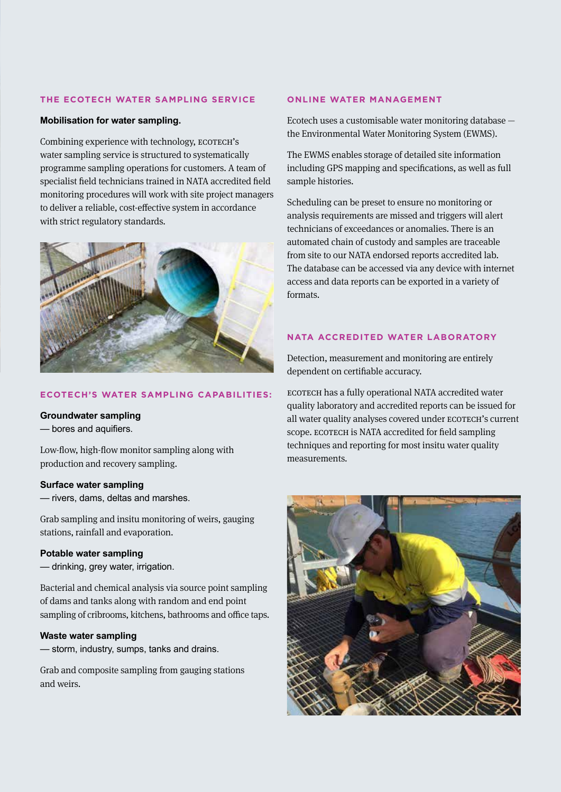#### **THE ECOTECH WATER SAMPLING SERVICE**

#### **Mobilisation for water sampling.**

Combining experience with technology, ECOTECH's water sampling service is structured to systematically programme sampling operations for customers. A team of specialist field technicians trained in NATA accredited field monitoring procedures will work with site project managers to deliver a reliable, cost-effective system in accordance with strict regulatory standards.



#### **ECOTECH'S WATER SAMPLING CAPABILITIES:**

#### **Groundwater sampling**

— bores and aquifiers.

Low-flow, high-flow monitor sampling along with production and recovery sampling.

#### **Surface water sampling**

— rivers, dams, deltas and marshes.

Grab sampling and insitu monitoring of weirs, gauging stations, rainfall and evaporation.

#### **Potable water sampling**

— drinking, grey water, irrigation.

Bacterial and chemical analysis via source point sampling of dams and tanks along with random and end point sampling of cribrooms, kitchens, bathrooms and office taps.

#### **Waste water sampling**

— storm, industry, sumps, tanks and drains.

Grab and composite sampling from gauging stations and weirs.

#### **ONLINE WATER MANAGEMENT**

Ecotech uses a customisable water monitoring database the Environmental Water Monitoring System (EWMS).

The EWMS enables storage of detailed site information including GPS mapping and specifications, as well as full sample histories.

Scheduling can be preset to ensure no monitoring or analysis requirements are missed and triggers will alert technicians of exceedances or anomalies. There is an automated chain of custody and samples are traceable from site to our NATA endorsed reports accredited lab. The database can be accessed via any device with internet access and data reports can be exported in a variety of formats.

#### **NATA ACCREDITED WATER LABORATORY**

Detection, measurement and monitoring are entirely dependent on certifiable accuracy.

ECOTECH has a fully operational NATA accredited water quality laboratory and accredited reports can be issued for all water quality analyses covered under ECOTECH's current scope. ECOTECH is NATA accredited for field sampling techniques and reporting for most insitu water quality measurements.